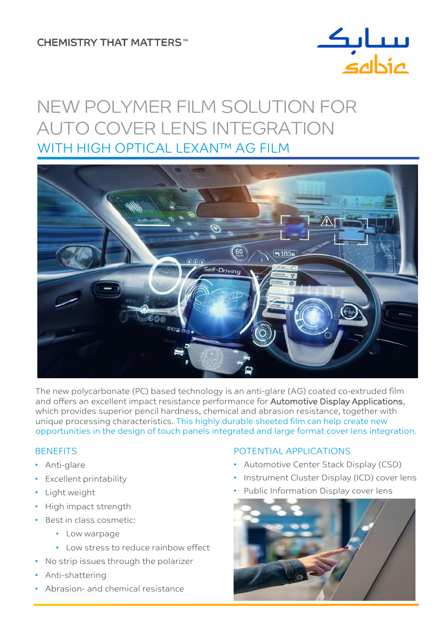# **CHEMISTRY THAT MATTERS™**



# WITH HIGH OPTICAL LEXAN™ AG FILM NEW POLYMER FILM SOLUTION FOR AUTO COVER LENS INTEGRATION



The new polycarbonate (PC) based technology is an anti-glare (AG) coated co-extruded film and offers an excellent impact resistance performance for Automotive Display Applications, which provides superior pencil hardness, chemical and abrasion resistance, together with unique processing characteristics. This highly durable sheeted film can help create new opportunities in the design of touch panels integrated and large format cover lens integration.

# **BENEFITS**

- Anti-glare
- Excellent printability
- Light weight
- High impact strength
- Best in class cosmetic:
	- Low warpage
	- Low stress to reduce rainbow effect
- No strip issues through the polarizer
- Anti-shattering
- Abrasion- and chemical resistance

# POTENTIAL APPLICATIONS

- Automotive Center Stack Display (CSD)
- Instrument Cluster Display (ICD) cover lens
- Public Information Display cover lens